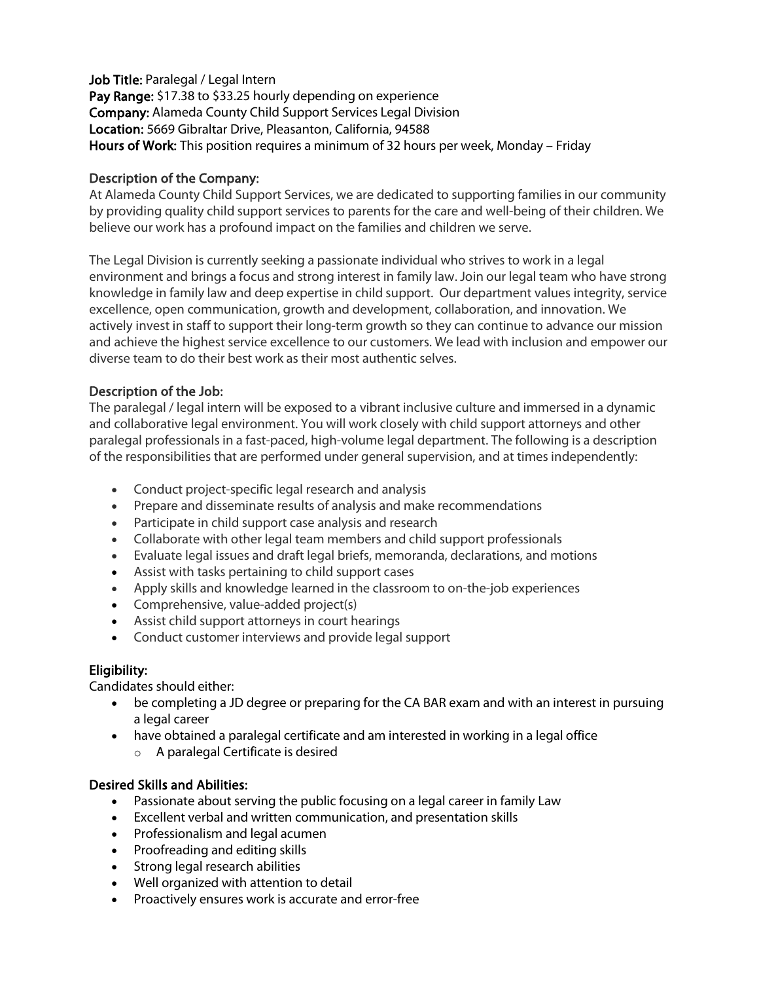Job Title: Paralegal / Legal Intern Pay Range: \$17.38 to \$33.25 hourly depending on experience Company: Alameda County Child Support Services Legal Division Location: 5669 Gibraltar Drive, Pleasanton, California, 94588 Hours of Work: This position requires a minimum of 32 hours per week, Monday – Friday

### Description of the Company:

At Alameda County Child Support Services, we are dedicated to supporting families in our community by providing quality child support services to parents for the care and well-being of their children. We believe our work has a profound impact on the families and children we serve.

The Legal Division is currently seeking a passionate individual who strives to work in a legal environment and brings a focus and strong interest in family law. Join our legal team who have strong knowledge in family law and deep expertise in child support. Our department values integrity, service excellence, open communication, growth and development, collaboration, and innovation. We actively invest in staff to support their long-term growth so they can continue to advance our mission and achieve the highest service excellence to our customers. We lead with inclusion and empower our diverse team to do their best work as their most authentic selves.

### Description of the Job:

The paralegal / legal intern will be exposed to a vibrant inclusive culture and immersed in a dynamic and collaborative legal environment. You will work closely with child support attorneys and other paralegal professionals in a fast-paced, high-volume legal department. The following is a description of the responsibilities that are performed under general supervision, and at times independently:

- Conduct project-specific legal research and analysis
- Prepare and disseminate results of analysis and make recommendations
- Participate in child support case analysis and research
- Collaborate with other legal team members and child support professionals
- Evaluate legal issues and draft legal briefs, memoranda, declarations, and motions
- Assist with tasks pertaining to child support cases
- Apply skills and knowledge learned in the classroom to on-the-job experiences
- Comprehensive, value-added project(s)
- Assist child support attorneys in court hearings
- Conduct customer interviews and provide legal support

# Eligibility:

Candidates should either:

- be completing a JD degree or preparing for the CA BAR exam and with an interest in pursuing a legal career
- have obtained a paralegal certificate and am interested in working in a legal office o A paralegal Certificate is desired

# Desired Skills and Abilities:

- Passionate about serving the public focusing on a legal career in family Law
- Excellent verbal and written communication, and presentation skills
- Professionalism and legal acumen
- Proofreading and editing skills
- Strong legal research abilities
- Well organized with attention to detail
- Proactively ensures work is accurate and error-free